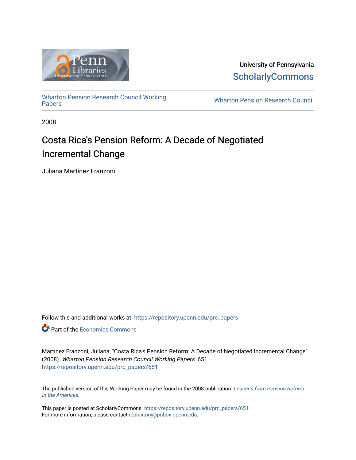

University of Pennsylvania **ScholarlyCommons** 

[Wharton Pension Research Council Working](https://repository.upenn.edu/prc_papers)

**Wharton Pension Research Council** 

2008

# Costa Rica's Pension Reform: A Decade of Negotiated Incremental Change

Juliana Martínez Franzoni

Follow this and additional works at: [https://repository.upenn.edu/prc\\_papers](https://repository.upenn.edu/prc_papers?utm_source=repository.upenn.edu%2Fprc_papers%2F651&utm_medium=PDF&utm_campaign=PDFCoverPages) 

**C** Part of the [Economics Commons](http://network.bepress.com/hgg/discipline/340?utm_source=repository.upenn.edu%2Fprc_papers%2F651&utm_medium=PDF&utm_campaign=PDFCoverPages)

Martínez Franzoni, Juliana, "Costa Rica's Pension Reform: A Decade of Negotiated Incremental Change" (2008). Wharton Pension Research Council Working Papers. 651. [https://repository.upenn.edu/prc\\_papers/651](https://repository.upenn.edu/prc_papers/651?utm_source=repository.upenn.edu%2Fprc_papers%2F651&utm_medium=PDF&utm_campaign=PDFCoverPages) 

The published version of this Working Paper may be found in the 2008 publication: [Lessons from Pension Reform](https://pensionresearchcouncil.wharton.upenn.edu/publications/books/lessons-from-pension-reform-in-the-americas/) [in the Americas.](https://pensionresearchcouncil.wharton.upenn.edu/publications/books/lessons-from-pension-reform-in-the-americas/) 

This paper is posted at ScholarlyCommons. [https://repository.upenn.edu/prc\\_papers/651](https://repository.upenn.edu/prc_papers/651)  For more information, please contact [repository@pobox.upenn.edu.](mailto:repository@pobox.upenn.edu)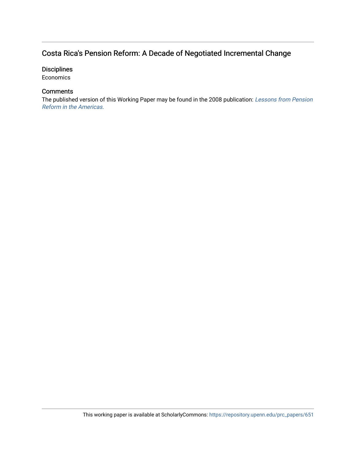# Costa Rica's Pension Reform: A Decade of Negotiated Incremental Change

# **Disciplines**

Economics

# **Comments**

The published version of this Working Paper may be found in the 2008 publication: [Lessons from Pension](https://pensionresearchcouncil.wharton.upenn.edu/publications/books/lessons-from-pension-reform-in-the-americas/)  [Reform in the Americas.](https://pensionresearchcouncil.wharton.upenn.edu/publications/books/lessons-from-pension-reform-in-the-americas/)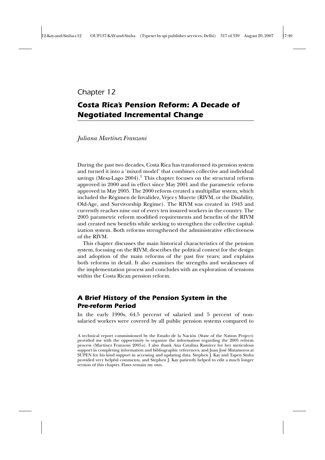*Chapter 12*

# *Costa Rica's Pension Reform: A Decade of Negotiated Incremental Change*

*Juliana Martínez Franzoni*

During the past two decades, Costa Rica has transformed its pension system and turned it into a 'mixed model' that combines collective and individual savings (Mesa-Lago 2004).<sup>1</sup> This chapter focuses on the structural reform approved in 2000 and in effect since May 2001 and the parametric reform approved in May 2005. The 2000 reform created a multipillar system, which included the Régimen de Invalidez, Vejez y Muerte (RIVM, or the Disability, Old-Age, and Survivorship Regime). The RIVM was created in 1943 and currently reaches nine out of every ten insured workers in the country. The 2005 parametric reform modified requirements and benefits of the RIVM and created new benefits while seeking to strengthen the collective capitalization system. Both reforms strengthened the administrative effectiveness of the RIVM.

This chapter discusses the main historical characteristics of the pension system, focusing on the RIVM; describes the political context for the design and adoption of the main reforms of the past five years; and explains both reforms in detail. It also examines the strengths and weaknesses of the implementation process and concludes with an exploration of tensions within the Costa Rican pension reform.

# *A Brief History of the Pension System in the Pre-reform Period*

In the early 1990s, 64.5 percent of salaried and 5 percent of nonsalaried workers were covered by all public pension systems compared to

A technical report commissioned by the Estado de la Nación (State of the Nation Project) provided me with the opportunity to organize the information regarding the 2005 reform process (Martínez Franzoni 2005*a*). I also thank Ana Catalina Ramírez for her meticulous support in completing information and bibliographic references, and Juan José Matamoros at SUPEN for his kind support in accessing and updating data. Stephen J. Kay and Tapen Sinha provided very helpful comments, and Stephen J. Kay patiently helped to edit a much longer version of this chapter. Flaws remain my own.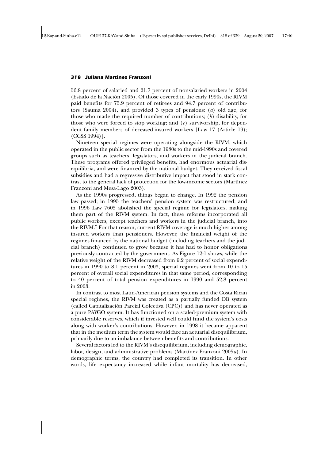56.8 percent of salaried and 21.7 percent of nonsalaried workers in 2004 (Estado de la Nación 2005). Of those covered in the early 1990s, the RIVM paid benefits for 75.9 percent of retirees and 94.7 percent of contributors (Sauma 2004), and provided 3 types of pensions: (*a*) old age, for those who made the required number of contributions; (*b*) disability, for those who were forced to stop working; and (*c*) survivorship, for dependent family members of deceased-insured workers [Law 17 (Article 19); (CCSS 1994)].

Nineteen special regimes were operating alongside the RIVM, which operated in the public sector from the 1980s to the mid-1990s and covered groups such as teachers, legislators, and workers in the judicial branch. These programs offered privileged benefits, had enormous actuarial disequilibria, and were financed by the national budget. They received fiscal subsidies and had a regressive distributive impact that stood in stark contrast to the general lack of protection for the low-income sectors (Martínez Franzoni and Mesa-Lago 2003).

As the 1990s progressed, things began to change. In 1992 the pension law passed; in 1995 the teachers' pension system was restructured; and in 1996 Law 7605 abolished the special regime for legislators, making them part of the RIVM system. In fact, these reforms incorporated all public workers, except teachers and workers in the judicial branch, into the RIVM.<sup>2</sup> For that reason, current RIVM coverage is much higher among insured workers than pensioners. However, the financial weight of the regimes financed by the national budget (including teachers and the judicial branch) continued to grow because it has had to honor obligations previously contracted by the government. As Figure 12-1 shows, while the relative weight of the RIVM decreased from 9.2 percent of social expenditures in 1990 to 8.1 percent in 2003, special regimes went from 10 to 15 percent of overall social expenditures in that same period, corresponding to 40 percent of total pension expenditures in 1990 and 52.8 percent in 2003.

In contrast to most Latin-American pension systems and the Costa Rican special regimes, the RIVM was created as a partially funded DB system (called Capitalización Parcial Colectiva (CPC)) and has never operated as a pure PAYGO system. It has functioned on a scaled-premium system with considerable reserves, which if invested well could fund the system's costs along with worker's contributions. However, in 1998 it became apparent that in the medium term the system would face an actuarial disequilibrium, primarily due to an imbalance between benefits and contributions.

Several factors led to the RIVM's disequilibrium, including demographic, labor, design, and administrative problems (Martínez Franzoni 2005*a*). In demographic terms, the country had completed its transition. In other words, life expectancy increased while infant mortality has decreased,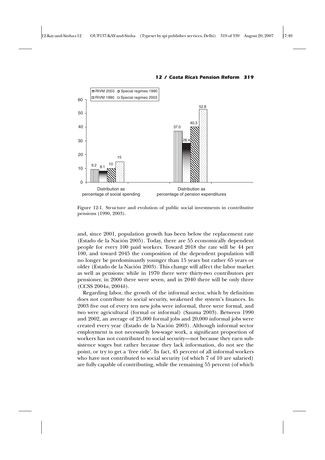

Figure 12-1. Structure and evolution of public social investments in contributive pensions (1990, 2003).

and, since 2001, population growth has been below the replacement rate (Estado de la Nación 2005). Today, there are 55 economically dependent people for every 100 paid workers. Toward 2018 the rate will be 44 per 100, and toward 2045 the composition of the dependent population will no longer be predominantly younger than 15 years but rather 65 years or older (Estado de la Nación 2003). This change will affect the labor market as well as pensions: while in 1970 there were thirty-two contributors per pensioner, in 2000 there were seven, and in 2040 there will be only three (CCSS 2004*a*, 2004*b*).

Regarding labor, the growth of the informal sector, which by definition does not contribute to social security, weakened the system's finances. In 2003 five out of every ten new jobs were informal, three were formal, and two were agricultural (formal or informal) (Sauma 2003). Between 1990 and 2002, an average of 25,000 formal jobs and 20,000 informal jobs were created every year (Estado de la Nación 2003). Although informal sector employment is not necessarily low-wage work, a significant proportion of workers has not contributed to social security—not because they earn subsistence wages but rather because they lack information, do not see the point, or try to get a 'free ride'. In fact, 45 percent of all informal workers who have not contributed to social security (of which 7 of 10 are salaried) are fully capable of contributing, while the remaining 55 percent (of which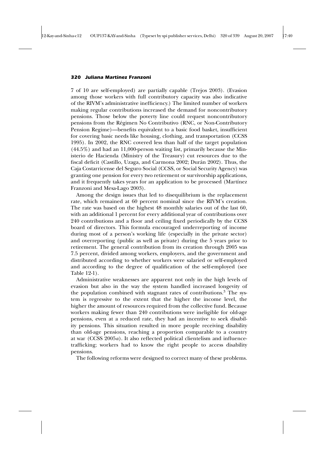7 of 10 are self-employed) are partially capable (Trejos 2003). (Evasion among those workers with full contributory capacity was also indicative of the RIVM's administrative inefficiency.) The limited number of workers making regular contributions increased the demand for noncontributory pensions. Those below the poverty line could request noncontributory pensions from the Régimen No Contributivo (RNC, or Non-Contributory Pension Regime)—benefits equivalent to a basic food basket, insufficient for covering basic needs like housing, clothing, and transportation (CCSS 1995). In 2002, the RNC covered less than half of the target population (44.5%) and had an 11,000-person waiting list, primarily because the Ministerio de Hacienda (Ministry of the Treasury) cut resources due to the fiscal deficit (Castillo, Uzaga, and Carmona 2002; Durán 2002). Thus, the Caja Costarricense del Seguro Social (CCSS, or Social Security Agency) was granting one pension for every two retirement or survivorship applications, and it frequently takes years for an application to be processed (Martínez Franzoni and Mesa-Lago 2003).

Among the design issues that led to disequilibrium is the replacement rate, which remained at 60 percent nominal since the RIVM's creation. The rate was based on the highest 48 monthly salaries out of the last 60, with an additional 1 percent for every additional year of contributions over 240 contributions and a floor and ceiling fixed periodically by the CCSS board of directors. This formula encouraged underreporting of income during most of a person's working life (especially in the private sector) and overreporting (public as well as private) during the 5 years prior to retirement. The general contribution from its creation through 2005 was 7.5 percent, divided among workers, employers, and the government and distributed according to whether workers were salaried or self-employed and according to the degree of qualification of the self-employed (see Table 12-1).

Administrative weaknesses are apparent not only in the high levels of evasion but also in the way the system handled increased longevity of the population combined with stagnant rates of contributions.<sup>3</sup> The system is regressive to the extent that the higher the income level, the higher the amount of resources required from the collective fund. Because workers making fewer than 240 contributions were ineligible for old-age pensions, even at a reduced rate, they had an incentive to seek disability pensions. This situation resulted in more people receiving disability than old-age pensions, reaching a proportion comparable to a country at war (CCSS 2005*a*). It also reflected political clientelism and influencetrafficking; workers had to know the right people to access disability pensions.

The following reforms were designed to correct many of these problems.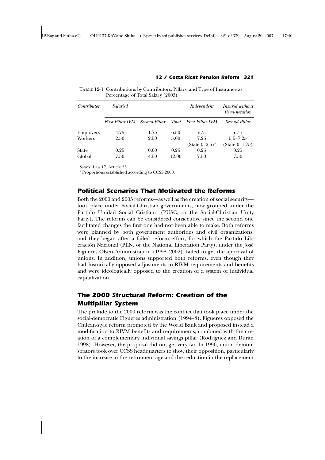| Contributor | <i>Salaried</i>         |               |              | Independent                   | <i>Insured without</i><br>Remuneration |
|-------------|-------------------------|---------------|--------------|-------------------------------|----------------------------------------|
|             | <b>First Pillar IVM</b> | Second Pillar | <b>Total</b> | <b>First Pillar IVM</b>       | Second Pillar                          |
| Employers   | 4.75                    | 1.75          | 6.50         | n/a                           | n/a                                    |
| Workers     | 2.50                    | 2.50          | 5.00         | 7.25                          | $5.5 - 7.25$                           |
|             |                         |               |              | (State $0-2.5$ ) <sup>a</sup> | (State $0-1.75$ )                      |
| State       | 0.25                    | 0.00          | 0.25         | 0.25                          | 0.25                                   |
| Global      | 7.50                    | 4.50          | 12.00        | 7.50                          | 7.50                                   |

Table 12-1 Contributions by Contributors, Pillars, and Type of Insurance as Percentage of Total Salary (2003)

*Source*: Law 17, Article 33.

*<sup>a</sup>* Proportions established according to CCSS 2000.

# *Political Scenarios That Motivated the Reforms*

Both the 2000 and 2005 reforms—as well as the creation of social security took place under Social-Christian governments, now grouped under the Partido Unidad Social Cristiano (PUSC, or the Social-Christian Unity Party). The reforms can be considered consecutive since the second one facilitated changes the first one had not been able to make. Both reforms were planned by both government authorities and civil organizations, and they began after a failed reform effort, for which the Partido Liberación Nacional (PLN, or the National Liberation Party), under the José Figueres Olsen Administration (1998–2002), failed to get the approval of unions. In addition, unions supported both reforms, even though they had historically opposed adjustments to RIVM requirements and benefits and were ideologically opposed to the creation of a system of individual capitalization.

# *The 2000 Structural Reform: Creation of the Multipillar System*

The prelude to the 2000 reform was the conflict that took place under the social-democratic Figueres administration (1994–8). Figueres opposed the Chilean-style reform promoted by the World Bank and proposed instead a modification to RIVM benefits and requirements, combined with the creation of a complementary individual savings pillar (Rodríguez and Durán 1998). However, the proposal did not get very far. In 1996, union demonstrators took over CCSS headquarters to show their opposition, particularly to the increase in the retirement age and the reduction in the replacement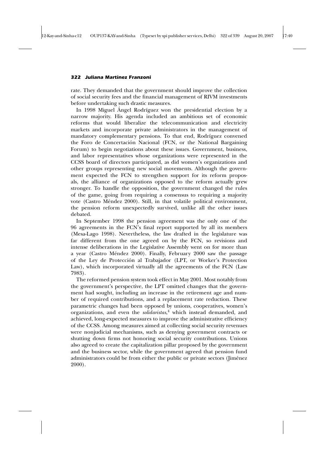rate. They demanded that the government should improve the collection of social security fees and the financial management of RIVM investments before undertaking such drastic measures.

In 1998 Miguel Ángel Rodríguez won the presidential election by a narrow majority. His agenda included an ambitious set of economic reforms that would liberalize the telecommunication and electricity markets and incorporate private administrators in the management of mandatory complementary pensions. To that end, Rodríguez convened the Foro de Concertación Nacional (FCN, or the National Bargaining Forum) to begin negotiations about these issues. Government, business, and labor representatives whose organizations were represented in the CCSS board of directors participated, as did women's organizations and other groups representing new social movements. Although the government expected the FCN to strengthen support for its reform proposals, the alliance of organizations opposed to the reform actually grew stronger. To handle the opposition, the government changed the rules of the game, going from requiring a consensus to requiring a majority vote (Castro Méndez 2000). Still, in that volatile political environment, the pension reform unexpectedly survived, unlike all the other issues debated.

In September 1998 the pension agreement was the only one of the 96 agreements in the FCN's final report supported by all its members (Mesa-Lago 1998). Nevertheless, the law drafted in the legislature was far different from the one agreed on by the FCN, so revisions and intense deliberations in the Legislative Assembly went on for more than a year (Castro Méndez 2000). Finally, February 2000 saw the passage of the Ley de Protección al Trabajador (LPT, or Worker's Protection Law), which incorporated virtually all the agreements of the FCN (Law 7983).

The reformed pension system took effect in May 2001. Most notably from the government's perspective, the LPT omitted changes that the government had sought, including an increase in the retirement age and number of required contributions, and a replacement rate reduction. These parametric changes had been opposed by unions, cooperatives, women's organizations, and even the *solidaristas*, <sup>4</sup> which instead demanded, and achieved, long-expected measures to improve the administrative efficiency of the CCSS. Among measures aimed at collecting social security revenues were nonjudicial mechanisms, such as denying government contracts or shutting down firms not honoring social security contributions. Unions also agreed to create the capitalization pillar proposed by the government and the business sector, while the government agreed that pension fund administrators could be from either the public or private sectors (Jiménez 2000).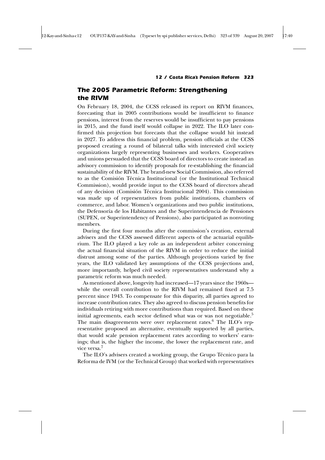# *The 2005 Parametric Reform: Strengthening the RIVM*

On February 18, 2004, the CCSS released its report on RIVM finances, forecasting that in 2005 contributions would be insufficient to finance pensions, interest from the reserves would be insufficient to pay pensions in 2015, and the fund itself would collapse in 2022. The ILO later confirmed this projection but forecasts that the collapse would hit instead in 2027. To address this financial problem, pension officials at the CCSS proposed creating a round of bilateral talks with interested civil society organizations largely representing businesses and workers. Cooperatives and unions persuaded that the CCSS board of directors to create instead an advisory commission to identify proposals for re-establishing the financial sustainability of the RIVM. The brand-new Social Commission, also referred to as the Comisión Técnica Institucional (or the Institutional Technical Commission), would provide input to the CCSS board of directors ahead of any decision (Comisión Técnica Institucional 2004). This commission was made up of representatives from public institutions, chambers of commerce, and labor. Women's organizations and two public institutions, the Defensoría de los Habitantes and the Superintendencia de Pensiones (SUPEN, or Superintendency of Pensions), also participated as nonvoting members.

During the first four months after the commission's creation, external advisers and the CCSS assessed different aspects of the actuarial equilibrium. The ILO played a key role as an independent arbiter concerning the actual financial situation of the RIVM in order to reduce the initial distrust among some of the parties. Although projections varied by five years, the ILO validated key assumptions of the CCSS projections and, more importantly, helped civil society representatives understand why a parametric reform was much needed.

As mentioned above, longevity had increased—17 years since the 1960s while the overall contribution to the RIVM had remained fixed at 7.5 percent since 1943. To compensate for this disparity, all parties agreed to increase contribution rates. They also agreed to discuss pension benefits for individuals retiring with more contributions than required. Based on these initial agreements, each sector defined what was or was not negotiable.<sup>5</sup> The main disagreements were over replacement rates. $6$  The ILO's representative proposed an alternative, eventually supported by all parties, that would scale pension replacement rates according to workers' earnings; that is, the higher the income, the lower the replacement rate, and vice versa.<sup>7</sup>

The ILO's advisers created a working group, the Grupo Técnico para la Reforma de IVM (or the Technical Group) that worked with representatives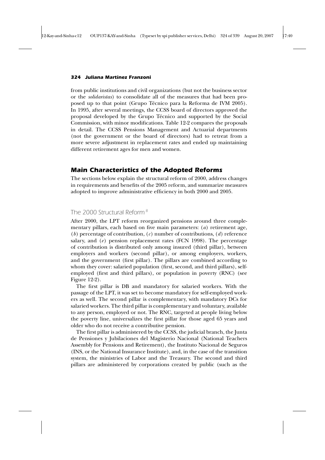from public institutions and civil organizations (but not the business sector or the *solidaristas*) to consolidate all of the measures that had been proposed up to that point (Grupo Técnico para la Reforma de IVM 2005). In 1995, after several meetings, the CCSS board of directors approved the proposal developed by the Grupo Técnico and supported by the Social Commission, with minor modifications. Table 12-2 compares the proposals in detail. The CCSS Pensions Management and Actuarial departments (not the government or the board of directors) had to retreat from a more severe adjustment in replacement rates and ended up maintaining different retirement ages for men and women.

### *Main Characteristics of the Adopted Reforms*

The sections below explain the structural reform of 2000, address changes in requirements and benefits of the 2005 reform, and summarize measures adopted to improve administrative efficiency in both 2000 and 2005.

# *The 2000 Structural Reform <sup>8</sup>*

After 2000, the LPT reform reorganized pensions around three complementary pillars, each based on five main parameters: (*a*) retirement age, (*b*) percentage of contribution, (*c*) number of contributions, (*d*) reference salary, and (e) pension replacement rates (FCN 1998). The percentage of contribution is distributed only among insured (third pillar), between employers and workers (second pillar), or among employers, workers, and the government (first pillar). The pillars are combined according to whom they cover: salaried population (first, second, and third pillars), selfemployed (first and third pillars), or population in poverty (RNC) (see Figure 12-2).

The first pillar is DB and mandatory for salaried workers. With the passage of the LPT, it was set to become mandatory for self-employed workers as well. The second pillar is complementary, with mandatory DCs for salaried workers. The third pillar is complementary and voluntary, available to any person, employed or not. The RNC, targeted at people living below the poverty line, universalizes the first pillar for those aged 65 years and older who do not receive a contributive pension.

The first pillar is administered by the CCSS, the judicial branch, the Junta de Pensiones y Jubilaciones del Magisterio Nacional (National Teachers Assembly for Pensions and Retirement), the Instituto Nacional de Seguros (INS, or the National Insurance Institute), and, in the case of the transition system, the ministries of Labor and the Treasury. The second and third pillars are administered by corporations created by public (such as the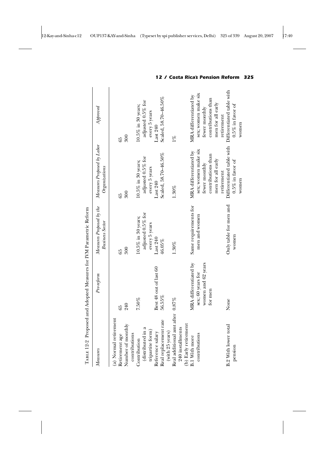|                                          | TABLE 12-2 Proposed and Adopted Measures for IVM Parametric Reform |                                                    |                                                  |                                                  |
|------------------------------------------|--------------------------------------------------------------------|----------------------------------------------------|--------------------------------------------------|--------------------------------------------------|
| Measures                                 | Pre-reform                                                         | Measures Proposed by the<br><b>Business Sector</b> | Measures Proposed by Labor<br>Organizations      | $A$ pproved                                      |
| (a) Normal retirement                    |                                                                    |                                                    |                                                  |                                                  |
| Retirement age                           | 65                                                                 | 65                                                 | 65                                               | 65                                               |
| Number of monthly<br>contributions       | 240                                                                | 300                                                | 300                                              | 300                                              |
| Contribution                             | 7.50%                                                              | $10.5\%$ in 30 years;                              | $10.5\%$ in 30 years;                            | $10.5\%$ in 30 years;                            |
| (distributed in a                        |                                                                    | adjusted 0.5% for                                  | adjusted 0.5% for                                | adjusted 0.5% for                                |
| tripartite form)                         |                                                                    | every 5 years                                      | every 5 years                                    | every 5 years                                    |
| Reference salary                         | Best 48 out of last 60                                             | Last 240                                           | Last 240                                         | Last 240                                         |
| Real replacement rate<br>(with 25 years) | 56.55%                                                             | 46.05%                                             | Scaled, 58.70-46.50%                             | Scaled, 58.70-46.50%                             |
| Real additional amt after 0.87%          |                                                                    | $1.30\%$                                           | $1.30\%$                                         | $1\%$                                            |
| 240 installments                         |                                                                    |                                                    |                                                  |                                                  |
| (b) Early retirement                     |                                                                    |                                                    |                                                  |                                                  |
| <b>B.1 With more</b>                     | MRA differentiated by                                              | Same requirements for                              | MRA differentiated by                            | MRA differentiated by                            |
| contributions                            | sex; 60 years for                                                  | men and women                                      | sex; women make six                              | sex; women make six                              |
|                                          | women and 62 years                                                 |                                                    | fewer monthly                                    | fewer monthly                                    |
|                                          | for men                                                            |                                                    | contributions than                               | contributions than                               |
|                                          |                                                                    |                                                    | men for all early                                | men for all early                                |
|                                          |                                                                    |                                                    | retirement                                       | retirement                                       |
| <b>B.2 With lower total</b>              | None                                                               | Only table for men and                             | Differentiated table with<br>$0.5\%$ in favor of | Differentiated table with<br>$0.5\%$ in favor of |
| pension                                  |                                                                    | women                                              | women                                            | women                                            |
|                                          |                                                                    |                                                    |                                                  |                                                  |

Table 12-2 Proposed and Adopted Measures for IVM Parametric Reform  $\mathbf{a}$  $\tilde{\mathsf{p}}$  $\mathbf{r}$  $\tilde{m}$ **c** l,  $\Delta$  $\epsilon$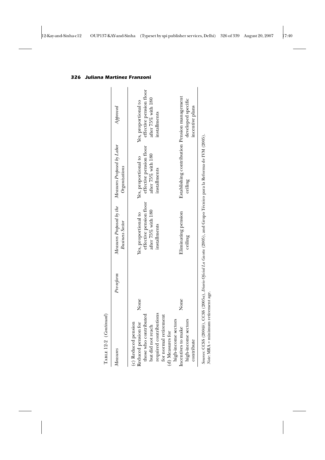| $T$ ABLE 12-2 ( <i>Continued</i> )                                                                                                                                                                                                                                |            |                                                                                                                         |                                                                                                                                                  |                                                                                                                                |
|-------------------------------------------------------------------------------------------------------------------------------------------------------------------------------------------------------------------------------------------------------------------|------------|-------------------------------------------------------------------------------------------------------------------------|--------------------------------------------------------------------------------------------------------------------------------------------------|--------------------------------------------------------------------------------------------------------------------------------|
| Measures                                                                                                                                                                                                                                                          | Pre-reform | Measures Proposed by the<br><b>Business Sector</b>                                                                      | Measures Proposed by Labor<br>Organizations                                                                                                      | $A$ pproved                                                                                                                    |
| None<br>None<br>required contributions<br>those who contributed<br>for normal retirement<br>high-income sectors<br>high-income sectors<br>Reduced pension for<br>(c) Reduced pension<br>but did not reach<br>Incentives to make<br>(d) Measures for<br>contribute |            | effective pension floor<br>after 75% with 180<br>Eliminating pension<br>Yes, proportional to<br>installments<br>ceiling | Establishing contribution Pension management<br>effective pension floor<br>after 75% with 180<br>Yes, proportional to<br>installments<br>ceiling | effective pension floor<br>after 75% with 180<br>developed specific<br>Yes, proportional to<br>incentive plans<br>installments |
| Source: CCSS (2004b) CCSS (2005a) Digrip Oficial La Gareta (2005) and Crupo Técnico para la Reforma de IVM (2005)                                                                                                                                                 |            |                                                                                                                         |                                                                                                                                                  |                                                                                                                                |

TABLE 12-2 (Continued)

*Sources*: CCSS (2004*b*), CCSS (2005*a*), *Diario Oficial La Gaceta* (2005), and Grupo Técnico para la Reforma de IVM (2005). Sourtes: CCSS (20040), CCSS (20030), L<br>Note: MRA = minimum retirement age. *Note*: MRA = minimum retirement age.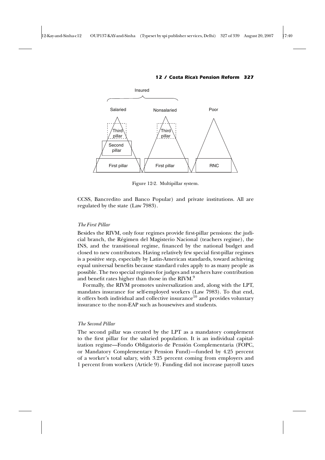

Figure 12-2. Multipillar system.

CCSS, Bancredito and Banco Popular) and private institutions. All are regulated by the state (Law 7983).

#### *The First Pillar*

Besides the RIVM, only four regimes provide first-pillar pensions: the judicial branch, the Régimen del Magisterio Nacional (teachers regime), the INS, and the transitional regime, financed by the national budget and closed to new contributors. Having relatively few special first-pillar regimes is a positive step, especially by Latin-American standards, toward achieving equal universal benefits because standard rules apply to as many people as possible. The two special regimes for judges and teachers have contribution and benefit rates higher than those in the RIVM.<sup>9</sup>

Formally, the RIVM promotes universalization and, along with the LPT, mandates insurance for self-employed workers (Law 7983). To that end, it offers both individual and collective insurance<sup>10</sup> and provides voluntary insurance to the non-EAP such as housewives and students.

#### *The Second Pillar*

The second pillar was created by the LPT as a mandatory complement to the first pillar for the salaried population. It is an individual capitalization regime—Fondo Obligatorio de Pensión Complementaria (FOPC, or Mandatory Complementary Pension Fund)—funded by 4.25 percent of a worker's total salary, with 3.25 percent coming from employers and 1 percent from workers (Article 9). Funding did not increase payroll taxes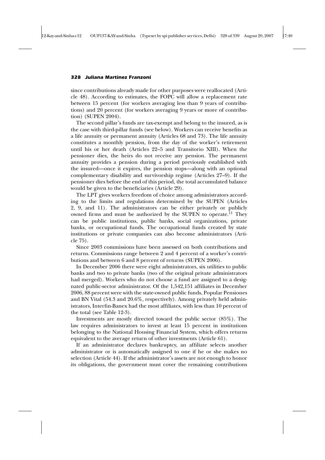since contributions already made for other purposes were reallocated (Article 48). According to estimates, the FOPC will allow a replacement rate between 15 percent (for workers averaging less than 9 years of contributions) and 20 percent (for workers averaging 9 years or more of contribution) (SUPEN 2004).

The second pillar's funds are tax-exempt and belong to the insured, as is the case with third-pillar funds (see below). Workers can receive benefits as a life annuity or permanent annuity (Articles 68 and 73). The life annuity constitutes a monthly pension, from the day of the worker's retirement until his or her death (Articles 22–5 and Transitorio XIII). When the pensioner dies, the heirs do not receive any pension. The permanent annuity provides a pension during a period previously established with the insured—once it expires, the pension stops—along with an optional complementary disability and survivorship regime (Articles 27–9). If the pensioner dies before the end of this period, the total accumulated balance would be given to the beneficiaries (Article 29).

The LPT gives workers freedom of choice among administrators according to the limits and regulations determined by the SUPEN (Articles 2, 9, and 11). The administrators can be either privately or publicly owned firms and must be authorized by the SUPEN to operate.<sup>11</sup> They can be public institutions, public banks, social organizations, private banks, or occupational funds. The occupational funds created by state institutions or private companies can also become administrators (Article 75).

Since 2003 commissions have been assessed on both contributions and returns. Commissions range between 2 and 4 percent of a worker's contributions and between 6 and 8 percent of returns (SUPEN 2006).

In December 2006 there were eight administrators, six utilities to public banks and two to private banks (two of the original private administrators had merged). Workers who do not choose a fund are assigned to a designated public-sector administrator. Of the 1,542,151 affiliates in December 2006, 88 percent were with the state-owned public funds, Popular Pensiones and BN Vital (54.3 and 20.6%, respectively). Among privately held administrators, Interfin-Banex had the most affiliates, with less than 10 percent of the total (see Table 12-3).

Investments are mostly directed toward the public sector (85%). The law requires administrators to invest at least 15 percent in institutions belonging to the National Housing Financial System, which offers returns equivalent to the average return of other investments (Article 61).

If an administrator declares bankruptcy, an affiliate selects another administrator or is automatically assigned to one if he or she makes no selection (Article 44). If the administrator's assets are not enough to honor its obligations, the government must cover the remaining contributions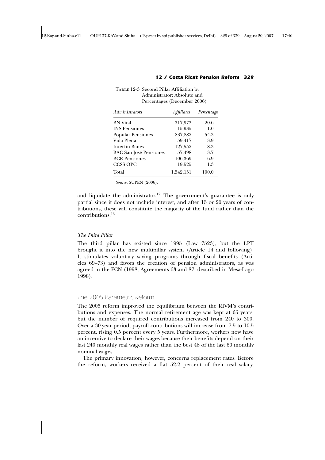TABLE 12-3 Second Pillar Affiliation by

| Administrators                | <i>Affiliates</i> | Percentage |
|-------------------------------|-------------------|------------|
| <b>BN</b> Vital               | 317,973           | 20.6       |
| <b>INS</b> Pensiones          | 15,935            | 1.0        |
| <b>Popular Pensiones</b>      | 837,882           | 54.3       |
| Vida Plena                    | 59,417            | 3.9        |
| Interfin-Banex                | 127,552           | 8.3        |
| <b>BAC San José Pensiones</b> | 57,498            | 3.7        |
| <b>BCR</b> Pensiones          | 106,369           | 6.9        |
| <b>CCSS OPC</b>               | 19,525            | 1.3        |
| Total                         | 1,542,151         | 100.0      |
|                               |                   |            |

Administrator: Absolute and Percentages (December 2006)

#### *12 / Costa Rica's Pension Reform 329*

*Source*: SUPEN (2006).

and liquidate the administrator.<sup>12</sup> The government's guarantee is only partial since it does not include interest, and after 15 or 20 years of contributions, these will constitute the majority of the fund rather than the contributions.<sup>13</sup>

#### *The Third Pillar*

The third pillar has existed since 1995 (Law 7523), but the LPT brought it into the new multipillar system (Article 14 and following). It stimulates voluntary saving programs through fiscal benefits (Articles 69–73) and favors the creation of pension administrators, as was agreed in the FCN (1998, Agreements 63 and 87, described in Mesa-Lago 1998).

# *The 2005 Parametric Reform*

The 2005 reform improved the equilibrium between the RIVM's contributions and expenses. The normal retirement age was kept at 65 years, but the number of required contributions increased from 240 to 300. Over a 30-year period, payroll contributions will increase from 7.5 to 10.5 percent, rising 0.5 percent every 5 years. Furthermore, workers now have an incentive to declare their wages because their benefits depend on their last 240 monthly real wages rather than the best 48 of the last 60 monthly nominal wages.

The primary innovation, however, concerns replacement rates. Before the reform, workers received a flat 52.2 percent of their real salary,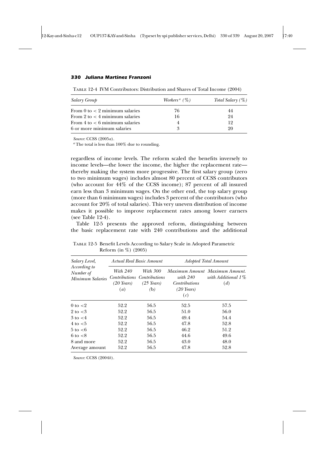Table 12-4 IVM Contributors: Distribution and Shares of Total Income (2004)

| Salary Group                              | Workers <sup><i>a</i></sup> ( $\%$ ) | Total Salary $(\%)$ |
|-------------------------------------------|--------------------------------------|---------------------|
| From 0 to $<$ 2 minimum salaries          | 76                                   | 44                  |
| From 2 to $\lt$ 4 minimum salaries        | 16                                   | 94                  |
| From $4 \text{ to } < 6$ minimum salaries |                                      | 19                  |
| 6 or more minimum salaries                |                                      | 90                  |

*Source*: CCSS (2005*a*).

*<sup>a</sup>* The total is less than 100% due to rounding.

regardless of income levels. The reform scaled the benefits inversely to income levels—the lower the income, the higher the replacement rate thereby making the system more progressive. The first salary group (zero to two minimum wages) includes almost 80 percent of CCSS contributors (who account for 44% of the CCSS income); 87 percent of all insured earn less than 3 minimum wages. On the other end, the top salary group (more than 6 minimum wages) includes 3 percent of the contributors (who account for 20% of total salaries). This very uneven distribution of income makes it possible to improve replacement rates among lower earners (see Table 12-4).

Table 12-5 presents the approved reform, distinguishing between the basic replacement rate with 240 contributions and the additional

| Salary Level,                                 | Actual Real Basic Amount                             |                                                                       | Adopted Total Amount                                      |                                                             |  |
|-----------------------------------------------|------------------------------------------------------|-----------------------------------------------------------------------|-----------------------------------------------------------|-------------------------------------------------------------|--|
| According to<br>Number of<br>Minimum Salaries | <i>With 240</i><br>$(20$ Years)<br>$\left( a\right)$ | <i>With 300</i><br>Contributions Contributions<br>$(25$ Years)<br>(b) | with $240$<br><i>Contributions</i><br>$(20$ Years)<br>(c) | Maximum Amount Maximum Amount.<br>with Additional 1%<br>(d) |  |
| 0 to $<$ 2                                    | 52.2                                                 | 56.5                                                                  | 52.5                                                      | 57.5                                                        |  |
| $2 \text{ to } < 3$                           | 52.2                                                 | 56.5                                                                  | 51.0                                                      | 56.0                                                        |  |
| $3 \text{ to } < 4$                           | 52.2                                                 | 56.5                                                                  | 49.4                                                      | 54.4                                                        |  |
| $4$ to $< 5$                                  | 52.2                                                 | 56.5                                                                  | 47.8                                                      | 52.8                                                        |  |
| $5 \text{ to } < 6$                           | 52.2                                                 | 56.5                                                                  | 46.2                                                      | 51.2                                                        |  |
| $6 \text{ to } < 8$                           | 52.2                                                 | 56.5                                                                  | 44.6                                                      | 49.6                                                        |  |
| 8 and more                                    | 52.2                                                 | 56.5                                                                  | 43.0                                                      | 48.0                                                        |  |
| Average amount                                | 52.2                                                 | 56.5                                                                  | 47.8                                                      | 52.8                                                        |  |

Table 12-5 Benefit Levels According to Salary Scale in Adopted Parametric Reform (in %) (2005)

*Source*: CCSS (2004*b*).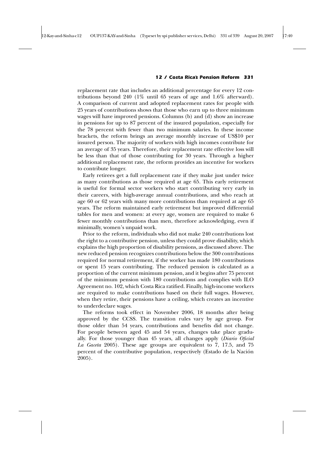replacement rate that includes an additional percentage for every 12 contributions beyond 240 (1% until 65 years of age and 1.6% afterward). A comparison of current and adopted replacement rates for people with 25 years of contributions shows that those who earn up to three minimum wages will have improved pensions. Columns (b) and (d) show an increase in pensions for up to 87 percent of the insured population, especially for the 78 percent with fewer than two minimum salaries. In these income brackets, the reform brings an average monthly increase of US\$10 per insured person. The majority of workers with high incomes contribute for an average of 35 years. Therefore, their replacement rate effective loss will be less than that of those contributing for 30 years. Through a higher additional replacement rate, the reform provides an incentive for workers to contribute longer.

Early retirees get a full replacement rate if they make just under twice as many contributions as those required at age 65. This early retirement is useful for formal sector workers who start contributing very early in their careers, with high-average annual contributions, and who reach at age 60 or 62 years with many more contributions than required at age 65 years. The reform maintained early retirement but improved differential tables for men and women: at every age, women are required to make 6 fewer monthly contributions than men, therefore acknowledging, even if minimally, women's unpaid work.

Prior to the reform, individuals who did not make 240 contributions lost the right to a contributive pension, unless they could prove disability, which explains the high proportion of disability pensions, as discussed above. The new reduced pension recognizes contributions below the 300 contributions required for normal retirement, if the worker has made 180 contributions or spent 15 years contributing. The reduced pension is calculated as a proportion of the current minimum pension, and it begins after 75 percent of the minimum pension with 180 contributions and complies with ILO Agreement no. 102, which Costa Rica ratified. Finally, high-income workers are required to make contributions based on their full wages. However, when they retire, their pensions have a ceiling, which creates an incentive to underdeclare wages.

The reforms took effect in November 2006, 18 months after being approved by the CCSS. The transition rules vary by age group. For those older than 54 years, contributions and benefits did not change. For people between aged 45 and 54 years, changes take place gradually. For those younger than 45 years, all changes apply (*Diario Oficial La Gaceta* 2005). These age groups are equivalent to 7, 17.5, and 75 percent of the contributive population, respectively (Estado de la Nación 2005).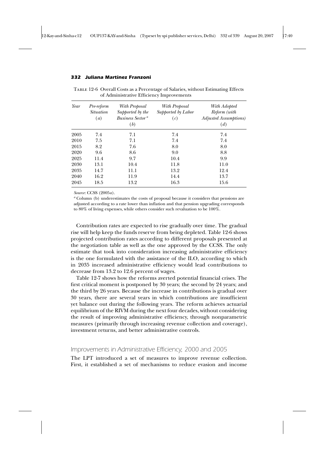| Year | Pre-reform<br><i>Situation</i> | With Proposal<br>Supported by the          | With Proposal<br>Supported by Labor | With Adopted<br>Reform (with         |
|------|--------------------------------|--------------------------------------------|-------------------------------------|--------------------------------------|
|      | $\left( a\right)$              | <b>Business Sector</b> <sup>a</sup><br>(b) | (c)                                 | <b>Adjusted Assumptions</b> )<br>(d) |
| 2005 | 7.4                            | 7.1                                        | 7.4                                 | 7.4                                  |
| 2010 | 7.5                            | 7.1                                        | 7.4                                 | 7.4                                  |
| 2015 | 8.2                            | 7.6                                        | 8.0                                 | 8.0                                  |
| 2020 | 9.6                            | 8.6                                        | 9.0                                 | 8.8                                  |
| 2025 | 11.4                           | 9.7                                        | 10.4                                | 9.9                                  |
| 2030 | 13.1                           | 10.4                                       | 11.8                                | 11.0                                 |
| 2035 | 14.7                           | 11.1                                       | 13.2                                | 12.4                                 |
| 2040 | 16.2                           | 11.9                                       | 14.4                                | 13.7                                 |
| 2045 | 18.5                           | 13.2                                       | 16.3                                | 15.6                                 |

Table 12-6 Overall Costs as a Percentage of Salaries, without Estimating Effects of Administrative Efficiency Improvements

*Source*: CCSS (2005*a*).

*<sup>a</sup>* Column (b) underestimates the costs of proposal because it considers that pensions are adjusted according to a rate lower than inflation and that pension upgrading corresponds to 80% of living expenses, while others consider such revaluation to be 100%.

Contribution rates are expected to rise gradually over time. The gradual rise will help keep the funds reserve from being depleted. Table 12-6 shows projected contribution rates according to different proposals presented at the negotiation table as well as the one approved by the CCSS. The only estimate that took into consideration increasing administrative efficiency is the one formulated with the assistance of the ILO, according to which in 2035 increased administrative efficiency would lead contributions to decrease from 13.2 to 12.6 percent of wages.

Table 12-7 shows how the reforms averted potential financial crises. The first critical moment is postponed by 30 years; the second by 24 years; and the third by 26 years. Because the increase in contributions is gradual over 30 years, there are several years in which contributions are insufficient yet balance out during the following years. The reform achieves actuarial equilibrium of the RIVM during the next four decades, without considering the result of improving administrative efficiency, through nonparametric measures (primarily through increasing revenue collection and coverage), investment returns, and better administrative controls.

# *Improvements in Administrative Efficiency, 2000 and 2005*

The LPT introduced a set of measures to improve revenue collection. First, it established a set of mechanisms to reduce evasion and income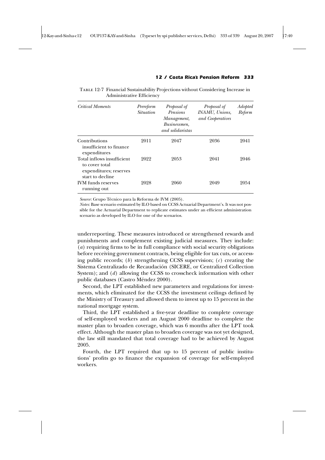Table 12-7 Financial Sustainability Projections without Considering Increase in Administrative Efficiency

| <b>Critical Moments</b>                                                                    | Prereform<br><i>Situation</i> | Proposal of<br>Pensions<br>Management,<br>Businessmen,<br>and solidaristas | Proposal of<br>INAMU, Unions,<br>and Cooperatives | Adopted<br>Reform |
|--------------------------------------------------------------------------------------------|-------------------------------|----------------------------------------------------------------------------|---------------------------------------------------|-------------------|
| Contributions<br>insufficient to finance<br>expenditures                                   | 2011                          | 2047                                                                       | 2036                                              | 2041              |
| Total inflows insufficient<br>to cover total<br>expenditures; reserves<br>start to decline | 2022                          | 2053                                                                       | 2041                                              | 2046              |
| <b>IVM</b> funds reserves<br>running out                                                   | 2028                          | 2060                                                                       | 2049                                              | 2054              |

*Source*: Grupo Técnico para la Reforma de IVM (2005).

*Notes*: Base scenario estimated by ILO based on CCSS Actuarial Department's. It was not possible for the Actuarial Department to replicate estimates under an efficient administration scenario as developed by ILO for one of the scenarios.

underreporting. These measures introduced or strengthened rewards and punishments and complement existing judicial measures. They include: (*a*) requiring firms to be in full compliance with social security obligations before receiving government contracts, being eligible for tax cuts, or accessing public records; (*b*) strengthening CCSS supervision; (*c*) creating the Sistema Centralizado de Recaudación (SICERE, or Centralized Collection System); and (*d*) allowing the CCSS to crosscheck information with other public databases (Castro Méndez 2000).

Second, the LPT established new parameters and regulations for investments, which eliminated for the CCSS the investment ceilings defined by the Ministry of Treasury and allowed them to invest up to 15 percent in the national mortgage system.

Third, the LPT established a five-year deadline to complete coverage of self-employed workers and an August 2000 deadline to complete the master plan to broaden coverage, which was 6 months after the LPT took effect. Although the master plan to broaden coverage was not yet designed, the law still mandated that total coverage had to be achieved by August 2005.

Fourth, the LPT required that up to 15 percent of public institutions' profits go to finance the expansion of coverage for self-employed workers.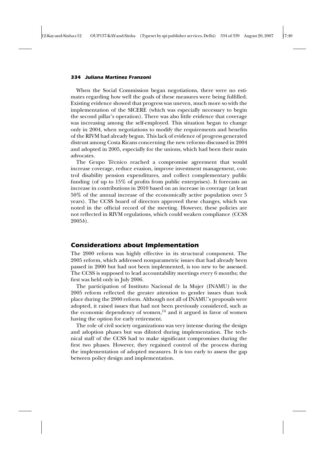When the Social Commission began negotiations, there were no estimates regarding how well the goals of these measures were being fulfilled. Existing evidence showed that progress was uneven, much more so with the implementation of the SICERE (which was especially necessary to begin the second pillar's operation). There was also little evidence that coverage was increasing among the self-employed. This situation began to change only in 2004, when negotiations to modify the requirements and benefits of the RIVM had already begun. This lack of evidence of progress generated distrust among Costa Ricans concerning the new reforms discussed in 2004 and adopted in 2005, especially for the unions, which had been their main advocates.

The Grupo Técnico reached a compromise agreement that would increase coverage, reduce evasion, improve investment management, control disability pension expenditures, and collect complementary public funding (of up to 15% of profits from public enterprises). It forecasts an increase in contributions in 2010 based on an increase in coverage (at least 50% of the annual increase of the economically active population over 5 years). The CCSS board of directors approved these changes, which was noted in the official record of the meeting. However, these policies are not reflected in RIVM regulations, which could weaken compliance (CCSS 2005*b*).

### *Considerations about Implementation*

The 2000 reform was highly effective in its structural component. The 2005 reform, which addressed nonparametric issues that had already been passed in 2000 but had not been implemented, is too new to be assessed. The CCSS is supposed to lead accountability meetings every 6 months; the first was held only in July 2006.

The participation of Instituto Nacional de la Mujer (INAMU) in the 2005 reform reflected the greater attention to gender issues than took place during the 2000 reform. Although not all of INAMU's proposals were adopted, it raised issues that had not been previously considered, such as the economic dependency of women, $14$  and it argued in favor of women having the option for early retirement.

The role of civil society organizations was very intense during the design and adoption phases but was diluted during implementation. The technical staff of the CCSS had to make significant compromises during the first two phases. However, they regained control of the process during the implementation of adopted measures. It is too early to assess the gap between policy design and implementation.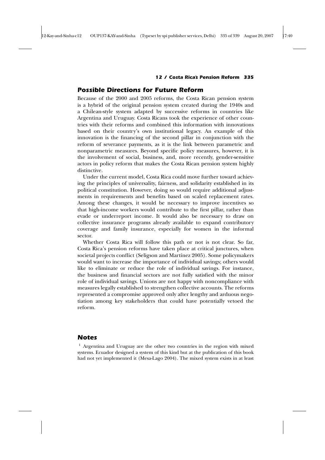### *Possible Directions for Future Reform*

Because of the 2000 and 2005 reforms, the Costa Rican pension system is a hybrid of the original pension system created during the 1940s and a Chilean-style system adapted by successive reforms in countries like Argentina and Uruguay. Costa Ricans took the experience of other countries with their reforms and combined this information with innovations based on their country's own institutional legacy. An example of this innovation is the financing of the second pillar in conjunction with the reform of severance payments, as it is the link between parametric and nonparametric measures. Beyond specific policy measures, however, it is the involvement of social, business, and, more recently, gender-sensitive actors in policy reform that makes the Costa Rican pension system highly distinctive.

Under the current model, Costa Rica could move further toward achieving the principles of universality, fairness, and solidarity established in its political constitution. However, doing so would require additional adjustments in requirements and benefits based on scaled replacement rates. Among these changes, it would be necessary to improve incentives so that high-income workers would contribute to the first pillar, rather than evade or underreport income. It would also be necessary to draw on collective insurance programs already available to expand contributory coverage and family insurance, especially for women in the informal sector.

Whether Costa Rica will follow this path or not is not clear. So far, Costa Rica's pension reforms have taken place at critical junctures, when societal projects conflict (Seligson and Martínez 2005). Some policymakers would want to increase the importance of individual savings; others would like to eliminate or reduce the role of individual savings. For instance, the business and financial sectors are not fully satisfied with the minor role of individual savings. Unions are not happy with noncompliance with measures legally established to strengthen collective accounts. The reforms represented a compromise approved only after lengthy and arduous negotiation among key stakeholders that could have potentially vetoed the reform.

### *Notes*

<sup>1</sup> Argentina and Uruguay are the other two countries in the region with mixed systems. Ecuador designed a system of this kind but at the publication of this book had not yet implemented it (Mesa-Lago 2004). The mixed system exists in at least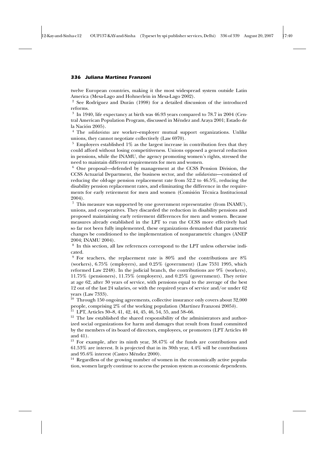twelve European countries, making it the most widespread system outside Latin America (Mesa-Lago and Hohnerlein in Mesa-Lago 2002).

<sup>2</sup> See Rodríguez and Durán (1998) for a detailed discussion of the introduced reforms.

<sup>3</sup> In 1940, life expectancy at birth was 46.93 years compared to 78.7 in 2004 (Central American Population Program, discussed in Méndez and Araya 2001; Estado de la Nación 2005).

<sup>4</sup> The *solidaristas* are worker–employer mutual support organizations. Unlike unions, they cannot negotiate collectively (Law 6970).

 $5$  Employers established  $1\%$  as the largest increase in contribution fees that they could afford without losing competitiveness. Unions opposed a general reduction in pensions, while the INAMU, the agency promoting women's rights, stressed the need to maintain different requirements for men and women.

<sup>6</sup> One proposal—defended by management at the CCSS Pension Division, the CCSS Actuarial Department, the business sector, and the *solidaristas*—consisted of reducing the old-age pension replacement rate from 52.2 to 46.5%, reducing the disability pension replacement rates, and eliminating the difference in the requirements for early retirement for men and women (Comisión Técnica Institucional 2004).

 $^7\,$  This measure was supported by one government representative (from INAMU), unions, and cooperatives. They discarded the reduction in disability pensions and proposed maintaining early retirement differences for men and women. Because measures already established in the LPT to run the CCSS more effectively had so far not been fully implemented, these organizations demanded that parametric changes be conditioned to the implementation of nonparametric changes (ANEP 2004; INAMU 2004).

<sup>8</sup> In this section, all law references correspond to the LPT unless otherwise indicated.

 $9$  For teachers, the replacement rate is 80% and the contributions are 8% (workers), 6.75% (employers), and 0.25% (government) (Law 7531 1995, which reformed Law 2248). In the judicial branch, the contributions are 9% (workers), 11.75% (pensioners), 11.75% (employers), and 0.25% (government). They retire at age 62, after 30 years of service, with pensions equal to the average of the best 12 out of the last 24 salaries, or with the required years of service and/or under 62 years (Law 7333).

 $10$  Through 150 ongoing agreements, collective insurance only covers about 32,000 people, comprising 2% of the working population (Martínez Franzoni 2005*b*).

<sup>11</sup> LPT, Articles 30–8, 41, 42, 44, 45, 46, 54, 55, and 58–66.

<sup>12</sup> The law established the shared responsibility of the administrators and authorized social organizations for harm and damages that result from fraud committed by the members of its board of directors, employees, or promoters (LPT Articles 40 and 41).

<sup>13</sup> For example, after its ninth year, 38.47% of the funds are contributions and 61.53% are interest. It is projected that in its 30th year, 4.4% will be contributions and 95.6% interest (Castro Méndez 2000).

<sup>14</sup> Regardless of the growing number of women in the economically active population, women largely continue to access the pension system as economic dependents.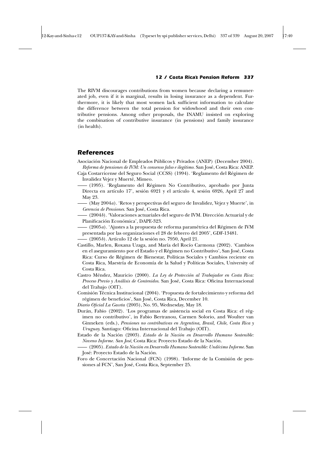The RIVM discourages contributions from women because declaring a remunerated job, even if it is marginal, results in losing insurance as a dependent. Furthermore, it is likely that most women lack sufficient information to calculate the difference between the total pension for widowhood and their own contributive pensions. Among other proposals, the INAMU insisted on exploring the combination of contributive insurance (in pensions) and family insurance (in health).

### *References*

- Asociación Nacional de Empleados Públicos y Privados (ANEP) (December 2004). *Reforma de pensiones de IVM: Un consenso falso e ilegítimo.* San José, Costa Rica: ANEP.
- Caja Costarricense del Seguro Social (CCSS) (1994). 'Reglamento del Régimen de Invalidez Vejez y Muerté, Mimeo.
- (1995). 'Reglamento del Régimen No Contributivo, aprobado por Junta Directa en artículo 17', sesión 6921 y el artículo 4, sesión 6926, April 27 and May 23.
- (May 2004*a*). 'Retos y perspectivas del seguro de Invalidez, Vejez y Muerte', in *Gerencia de Pensiones*. San José, Costa Rica.
- (2004*b*). 'Valoraciones actuariales del seguro de IVM. Dirección Actuarial y de Planificación Económica', DAPE-323.
- (2005*a*). 'Ajustes a la propuesta de reforma paramétrica del Régimen de IVM presentada por las organizaciones el 28 de febrero del 2005', GDF-13481.
- (2005*b*). Artículo 12 de la sesión no. 7950, April 21.
- Castillo, Marlen, Roxana Uzaga, and María del Rocío Carmona (2002). 'Cambios en el aseguramiento por el Estado y el Régimen no Contributivo', San José, Costa Rica: Curso de Régimen de Bienestar, Políticas Sociales y Cambios reciente en Costa Rica, Maestría de Economía de la Salud y Políticas Sociales, University of Costa Rica.
- Castro Méndez, Mauricio (2000). *La Ley de Protección al Trabajador en Costa Rica: Proceso Previo y Análisis de Contenidos*. San José, Costa Rica: Oficina Internacional del Trabajo (OIT).
- Comisión Técnica Institucional (2004). 'Propuesta de fortalecimiento y reforma del régimen de beneficios', San José, Costa Rica, December 10.
- *Diario Oficial La Gaceta* (2005), No. 95, Wednesday, May 18.
- Durán, Fabio (2002). 'Los programas de asistencia social en Costa Rica: el régimen no contributivo', in Fabio Bertranou, Carmen Solorio, and Woulter van Ginneken (eds.), *Pensiones no contributivas en Argentina, Brasil, Chile, Costa Rica y Uruguay.* Santiago: Oficina Internacional del Trabajo (OIT).
- Estado de la Nación (2003). *Estado de la Nación en Desarrollo Humano Sostenible: Noveno Informe. San José*, Costa Rica: Proyecto Estado de la Nación.
- (2005). *Estado de la Nación en Desarrollo Humano Sostenible: Undécimo Informe*. San José: Proyecto Estado de la Nación.
- Foro de Concertación Nacional (FCN) (1998). 'Informe de la Comisión de pensiones al FCN', San José, Costa Rica, September 25.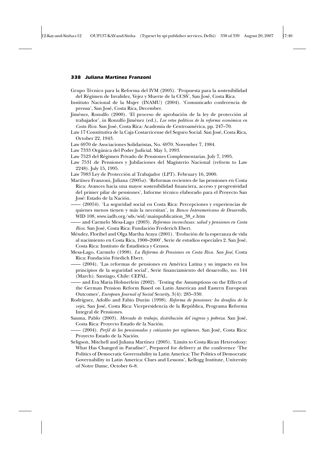- Grupo Técnico para la Reforma del IVM (2005). 'Propuesta para la sostenibilidad del Régimen de Invalidez, Vejez y Muerte de la CCSS', San José, Costa Rica.
- Instituto Nacional de la Mujer (INAMU) (2004). 'Comunicado conferencia de prensa', San José, Costa Rica, December.
- Jiménez, Ronulfo (2000). 'El proceso de aprobación de la ley de protección al trabajador', in Ronulfo Jiménez (ed.), *Los retos políticos de la reforma económica en Costa Rica.* San José, Costa Rica: Academia de Centroamérica, pp. 247–70.
- Law 17 Constitutiva de la Caja Costarricense del Seguro Social. San José, Costa Rica, October 22, 1943.
- Law 6970 de Asociaciones Solidaristas, No. 6970. November 7, 1984.
- Law 7333 Orgánica del Poder Judicial. May 5, 1993.
- Law 7523 del Régimen Privado de Pensiones Complementarias. July 7, 1995.
- Law 7531 de Pensiones y Jubilaciones del Magisterio Nacional (reform to Law 2248). July 15, 1995.
- Law 7983 Ley de Protección al Trabajador (LPT). February 16, 2000.
- Martínez Franzoni, Juliana (2005*a*). 'Reformas recientes de las pensiones en Costa Rica: Avances hacia una mayor sostenibilidad financiera, acceso y progresividad del primer pilar de pensiones', Informe técnico elaborado para el Proyecto San José: Estado de la Nación.
- (2005*b*). 'La seguridad social en Costa Rica: Percepciones y experiencias de quienes menos tienen y más la necesitan', in *Banco Interamericano de Desarrollo,* WID 108, www.iadb.org/sds/wid/mainpublication\_38\_e.htm
- and Carmelo Mesa-Lago (2003). *Reformas inconclusas: salud y pensiones en Costa Rica.* San José, Costa Rica: Fundación Frederich Ebert.
- Méndez, Floribel and Olga Martha Araya (2001). 'Evolución de la esperanza de vida al nacimiento en Costa Rica, 1900–2000', Serie de estudios especiales 2. San José, Costa Rica: Instituto de Estadística y Censos.
- Mesa-Lago, Carmelo (1998). *La Reforma de Pensiones en Costa Rica. San José,* Costa Rica: Fundación Friedich Ebert.
- (2004). 'Las reformas de pensiones en América Latina y su impacto en los principios de la seguridad social', Serie financiamiento del desarrollo, no. 144 (March). Santiago, Chile: CEPAL.
- and Eva Maria Hohnerlein (2002). 'Testing the Assumptions on the Effects of the German Pension Reform Based on Latin American and Eastern European Outcomes', *European Journal of Social Security*, 3(4): 285–330.
- Rodríguez, Adolfo and Fabio Durán (1998). *Reforma de pensiones: los desafíos de la vejez*. San José, Costa Rica: Vicepresidencia de la República, Programa Reforma Integral de Pensiones.
- Sauma, Pablo (2003). *Mercado de trabajo, distribución del ingreso y pobreza*. San José, Costa Rica: Proyecto Estado de la Nación.
- (2004). *Perfil de los pensionados y cotizantes por regímenes.* San José, Costa Rica: Proyecto Estado de la Nación.
- Seligson, Mitchell and Juliana Martínez (2005). 'Limits to Costa Rican Heterodoxy: What Has Changed in Paradise?', Prepared for delivery at the conference 'The Politics of Democratic Governability in Latin America: The Politics of Democratic Governability in Latin America: Clues and Lessons', Kellogg Institute, University of Notre Dame, October 6–8.